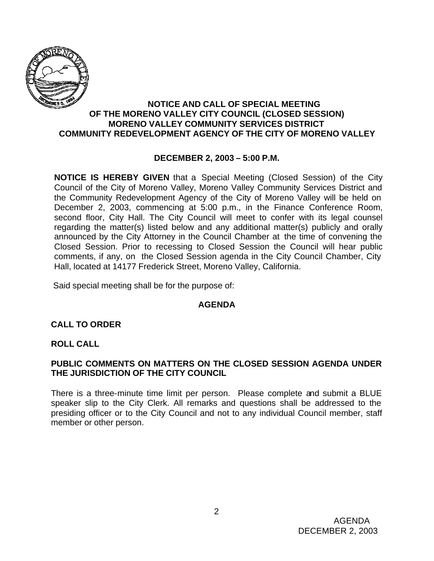

#### **NOTICE AND CALL OF SPECIAL MEETING OF THE MORENO VALLEY CITY COUNCIL (CLOSED SESSION) MORENO VALLEY COMMUNITY SERVICES DISTRICT COMMUNITY REDEVELOPMENT AGENCY OF THE CITY OF MORENO VALLEY**

## **DECEMBER 2, 2003 – 5:00 P.M.**

**NOTICE IS HEREBY GIVEN** that a Special Meeting (Closed Session) of the City Council of the City of Moreno Valley, Moreno Valley Community Services District and the Community Redevelopment Agency of the City of Moreno Valley will be held on December 2, 2003, commencing at 5:00 p.m., in the Finance Conference Room, second floor, City Hall. The City Council will meet to confer with its legal counsel regarding the matter(s) listed below and any additional matter(s) publicly and orally announced by the City Attorney in the Council Chamber at the time of convening the Closed Session. Prior to recessing to Closed Session the Council will hear public comments, if any, on the Closed Session agenda in the City Council Chamber, City Hall, located at 14177 Frederick Street, Moreno Valley, California.

Said special meeting shall be for the purpose of:

#### **AGENDA**

# **CALL TO ORDER**

#### **ROLL CALL**

## **PUBLIC COMMENTS ON MATTERS ON THE CLOSED SESSION AGENDA UNDER THE JURISDICTION OF THE CITY COUNCIL**

There is a three-minute time limit per person. Please complete and submit a BLUE speaker slip to the City Clerk. All remarks and questions shall be addressed to the presiding officer or to the City Council and not to any individual Council member, staff member or other person.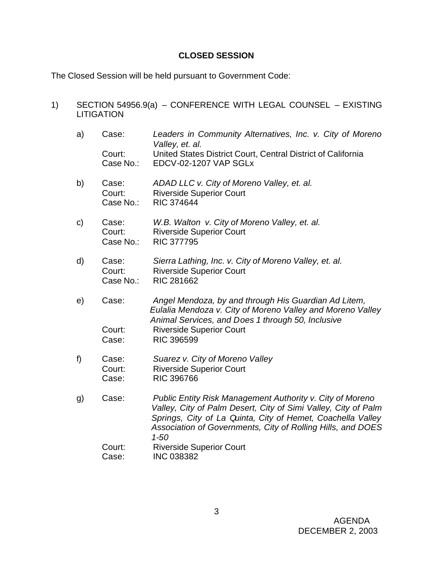## **CLOSED SESSION**

1) SECTION 54956.9(a) – CONFERENCE WITH LEGAL COUNSEL – EXISTING

The Closed Session will be held pursuant to Government Code:

LITIGATION a) Case: *Leaders in Community Alternatives, Inc. v. City of Moreno Valley, et. al.* Court: United States District Court, Central District of California Case No.: EDCV-02-1207 VAP SGLx b) Case: *ADAD LLC v. City of Moreno Valley, et. al.* Court: Riverside Superior Court Case No.: RIC 374644 c) Case: *W.B. Walton v. City of Moreno Valley, et. al.* Court: Riverside Superior Court Case No.: RIC 377795 d) Case: *Sierra Lathing, Inc. v. City of Moreno Valley, et. al.* Court: Riverside Superior Court Case No.: RIC 281662 e) Case: *Angel Mendoza, by and through His Guardian Ad Litem, Eulalia Mendoza v. City of Moreno Valley and Moreno Valley Animal Services, and Does 1 through 50, Inclusive* Court: Riverside Superior Court Case: RIC 396599 f) Case: *Suarez v. City of Moreno Valley* Court: Riverside Superior Court Case: RIC 396766 g) Case: *Public Entity Risk Management Authority v. City of Moreno Valley, City of Palm Desert, City of Simi Valley, City of Palm Springs, City of La Quinta, City of Hemet, Coachella Valley Association of Governments, City of Rolling Hills, and DOES 1-50* Court: Riverside Superior Court Case: INC 038382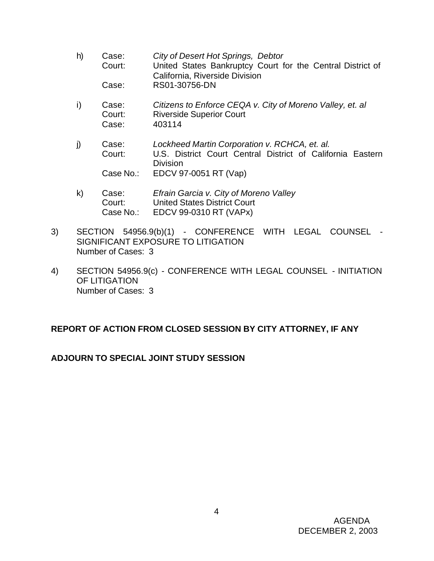- h) Case: *City of Desert Hot Springs, Debtor* Court: United States Bankruptcy Court for the Central District of California, Riverside Division Case: RS01-30756-DN
- i) Case: *Citizens to Enforce CEQA v. City of Moreno Valley, et. al* Court: Riverside Superior Court Case: 403114
- j) Case: *Lockheed Martin Corporation v. RCHCA, et. al.* Court: U.S. District Court Central District of California Eastern Division Case No.: EDCV 97-0051 RT (Vap)
- k) Case: *Efrain Garcia v. City of Moreno Valley* Court: United States District Court Case No.: EDCV 99-0310 RT (VAPx)
- 3) SECTION 54956.9(b)(1) CONFERENCE WITH LEGAL COUNSEL SIGNIFICANT EXPOSURE TO LITIGATION Number of Cases: 3
- 4) SECTION 54956.9(c) CONFERENCE WITH LEGAL COUNSEL INITIATION OF LITIGATION Number of Cases: 3

# **REPORT OF ACTION FROM CLOSED SESSION BY CITY ATTORNEY, IF ANY**

# **ADJOURN TO SPECIAL JOINT STUDY SESSION**